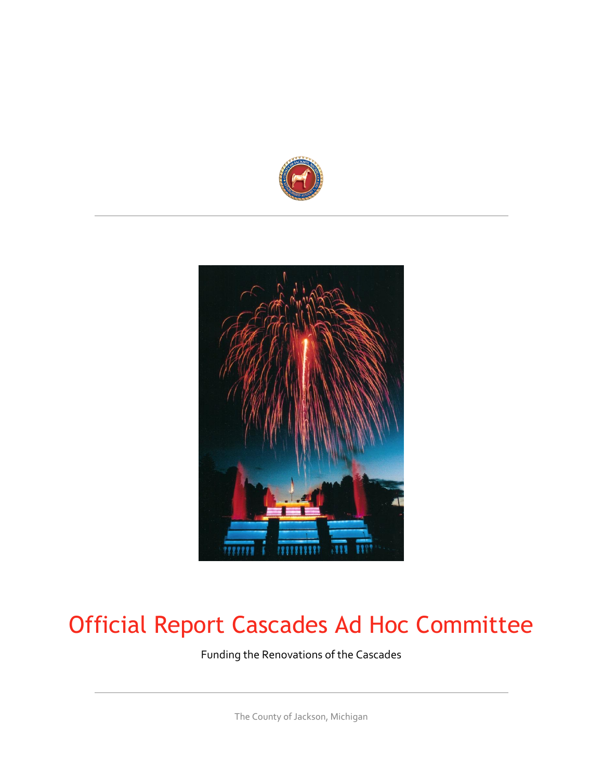



## Official Report Cascades Ad Hoc Committee

Funding the Renovations of the Cascades

The County of Jackson, Michigan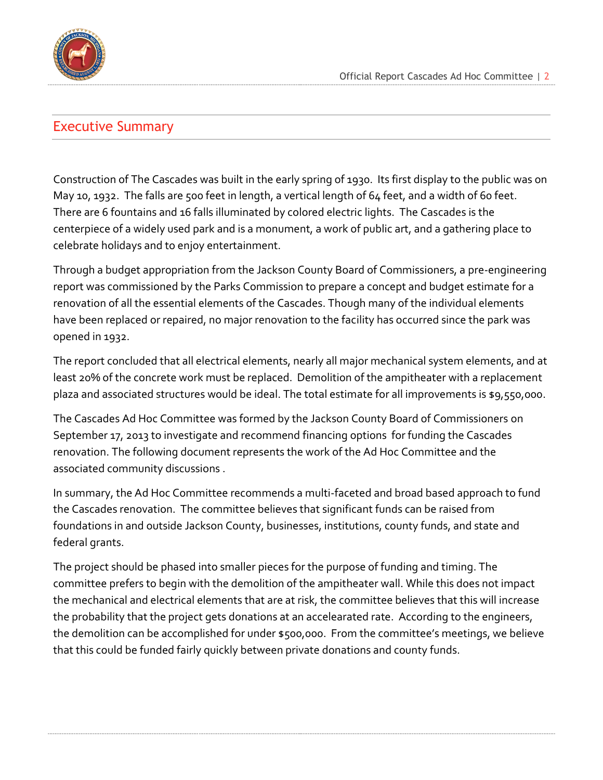

#### <span id="page-1-0"></span>Executive Summary

Construction of The Cascades was built in the early spring of 1930. Its first display to the public was on May 10, 1932. The falls are 500 feet in length, a vertical length of 64 feet, and a width of 60 feet. There are 6 fountains and 16 falls illuminated by colored electric lights. The Cascades is the centerpiece of a widely used park and is a monument, a work of public art, and a gathering place to celebrate holidays and to enjoy entertainment.

Through a budget appropriation from the Jackson County Board of Commissioners, a pre-engineering report was commissioned by the Parks Commission to prepare a concept and budget estimate for a renovation of all the essential elements of the Cascades. Though many of the individual elements have been replaced or repaired, no major renovation to the facility has occurred since the park was opened in 1932.

The report concluded that all electrical elements, nearly all major mechanical system elements, and at least 20% of the concrete work must be replaced. Demolition of the ampitheater with a replacement plaza and associated structures would be ideal. The total estimate for all improvements is \$9,550,000.

The Cascades Ad Hoc Committee was formed by the Jackson County Board of Commissioners on September 17, 2013 to investigate and recommend financing options for funding the Cascades renovation. The following document represents the work of the Ad Hoc Committee and the associated community discussions .

In summary, the Ad Hoc Committee recommends a multi-faceted and broad based approach to fund the Cascades renovation. The committee believes that significant funds can be raised from foundations in and outside Jackson County, businesses, institutions, county funds, and state and federal grants.

The project should be phased into smaller pieces for the purpose of funding and timing. The committee prefers to begin with the demolition of the ampitheater wall. While this does not impact the mechanical and electrical elements that are at risk, the committee believes that this will increase the probability that the project gets donations at an accelearated rate. According to the engineers, the demolition can be accomplished for under \$500,000. From the committee's meetings, we believe that this could be funded fairly quickly between private donations and county funds.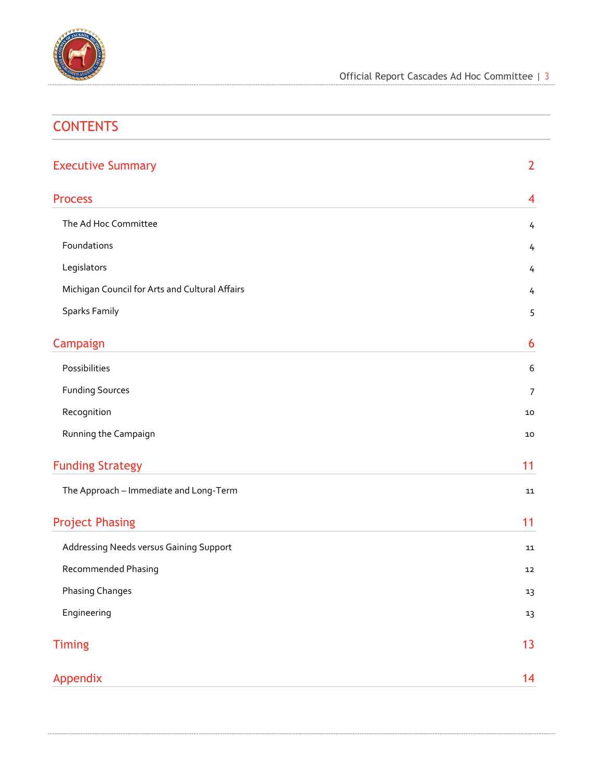

| <b>CONTENTS</b>                                |                |
|------------------------------------------------|----------------|
| <b>Executive Summary</b>                       | $\overline{2}$ |
| <b>Process</b>                                 | 4              |
| The Ad Hoc Committee                           | 4              |
| Foundations                                    | 4              |
| Legislators                                    | 4              |
| Michigan Council for Arts and Cultural Affairs | 4              |
| <b>Sparks Family</b>                           | 5              |
| Campaign                                       | 6              |
| Possibilities                                  | 6              |
| <b>Funding Sources</b>                         | $\overline{7}$ |
| Recognition                                    | 10             |
| Running the Campaign                           | 10             |
| <b>Funding Strategy</b>                        | 11             |
| The Approach - Immediate and Long-Term         | 11             |
| <b>Project Phasing</b>                         | 11             |
| Addressing Needs versus Gaining Support        | 11             |
| Recommended Phasing                            | 12             |
| <b>Phasing Changes</b>                         | 13             |
| Engineering                                    | 13             |
| <b>Timing</b>                                  | 13             |
| Appendix                                       | 14             |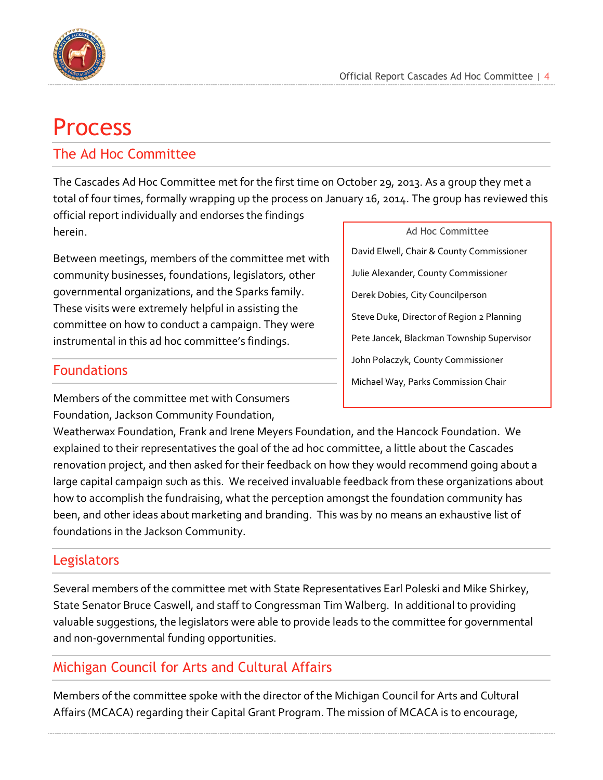

## <span id="page-3-0"></span>Process

#### <span id="page-3-1"></span>The Ad Hoc Committee

The Cascades Ad Hoc Committee met for the first time on October 29, 2013. As a group they met a total of four times, formally wrapping up the process on January 16, 2014. The group has reviewed this

official report individually and endorses the findings herein.

Between meetings, members of the committee met with community businesses, foundations, legislators, other governmental organizations, and the Sparks family. These visits were extremely helpful in assisting the committee on how to conduct a campaign. They were instrumental in this ad hoc committee's findings.

#### <span id="page-3-2"></span>Foundations

Members of the committee met with Consumers Foundation, Jackson Community Foundation,

Ad Hoc Committee David Elwell, Chair & County Commissioner Julie Alexander, County Commissioner Derek Dobies, City Councilperson Steve Duke, Director of Region 2 Planning Pete Jancek, Blackman Township Supervisor John Polaczyk, County Commissioner Michael Way, Parks Commission Chair

Weatherwax Foundation, Frank and Irene Meyers Foundation, and the Hancock Foundation. We explained to their representatives the goal of the ad hoc committee, a little about the Cascades renovation project, and then asked for their feedback on how they would recommend going about a large capital campaign such as this. We received invaluable feedback from these organizations about how to accomplish the fundraising, what the perception amongst the foundation community has been, and other ideas about marketing and branding. This was by no means an exhaustive list of foundations in the Jackson Community.

#### <span id="page-3-3"></span>**Legislators**

Several members of the committee met with State Representatives Earl Poleski and Mike Shirkey, State Senator Bruce Caswell, and staff to Congressman Tim Walberg. In additional to providing valuable suggestions, the legislators were able to provide leads to the committee for governmental and non-governmental funding opportunities.

#### <span id="page-3-4"></span>Michigan Council for Arts and Cultural Affairs

Members of the committee spoke with the director of the Michigan Council for Arts and Cultural Affairs (MCACA) regarding their Capital Grant Program. The mission of MCACA is to encourage,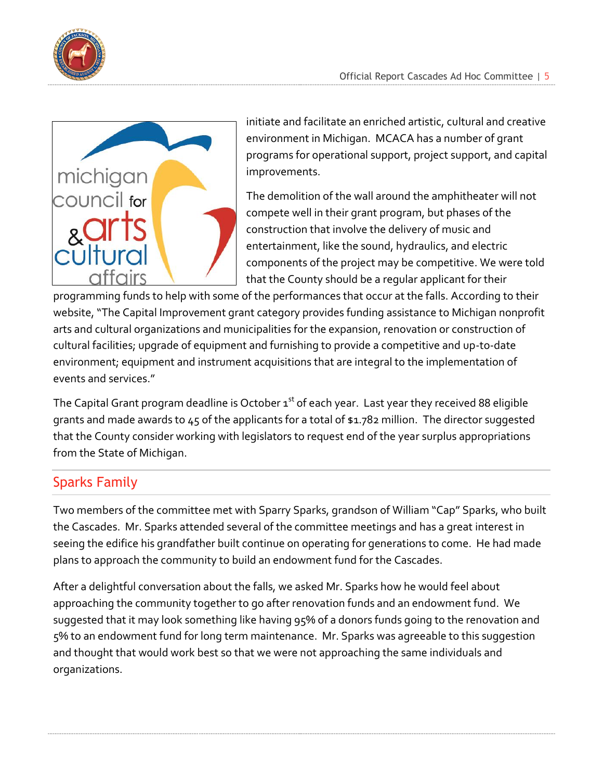



initiate and facilitate an enriched artistic, cultural and creative environment in Michigan. MCACA has a number of grant programs for operational support, project support, and capital improvements.

The demolition of the wall around the amphitheater will not compete well in their grant program, but phases of the construction that involve the delivery of music and entertainment, like the sound, hydraulics, and electric components of the project may be competitive. We were told that the County should be a regular applicant for their

programming funds to help with some of the performances that occur at the falls. According to their website, "The Capital Improvement grant category provides funding assistance to Michigan nonprofit arts and cultural organizations and municipalities for the expansion, renovation or construction of cultural facilities; upgrade of equipment and furnishing to provide a competitive and up-to-date environment; equipment and instrument acquisitions that are integral to the implementation of events and services."

The Capital Grant program deadline is October  $1<sup>st</sup>$  of each year. Last year they received 88 eligible grants and made awards to 45 of the applicants for a total of \$1.782 million. The director suggested that the County consider working with legislators to request end of the year surplus appropriations from the State of Michigan.

#### <span id="page-4-0"></span>Sparks Family

Two members of the committee met with Sparry Sparks, grandson of William "Cap" Sparks, who built the Cascades. Mr. Sparks attended several of the committee meetings and has a great interest in seeing the edifice his grandfather built continue on operating for generations to come. He had made plans to approach the community to build an endowment fund for the Cascades.

After a delightful conversation about the falls, we asked Mr. Sparks how he would feel about approaching the community together to go after renovation funds and an endowment fund. We suggested that it may look something like having 95% of a donors funds going to the renovation and 5% to an endowment fund for long term maintenance. Mr. Sparks was agreeable to this suggestion and thought that would work best so that we were not approaching the same individuals and organizations.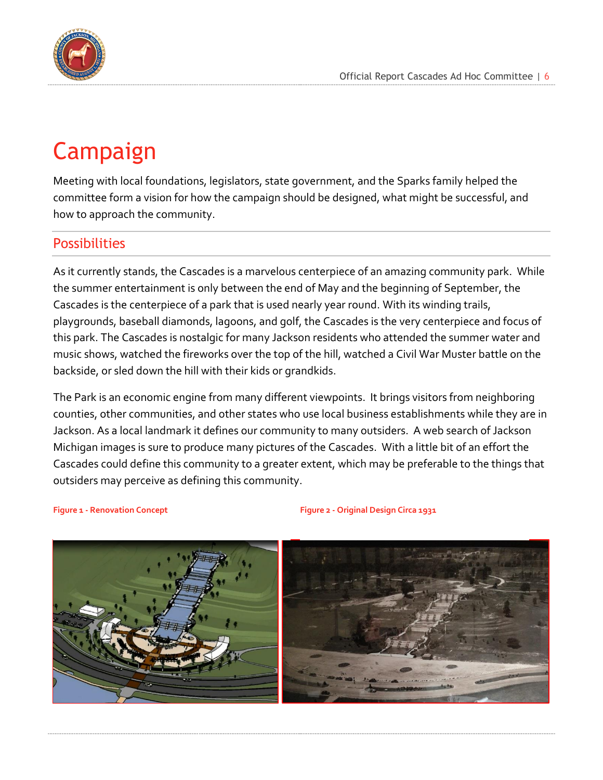

## <span id="page-5-0"></span>Campaign

Meeting with local foundations, legislators, state government, and the Sparks family helped the committee form a vision for how the campaign should be designed, what might be successful, and how to approach the community.

#### <span id="page-5-1"></span>**Possibilities**

As it currently stands, the Cascades is a marvelous centerpiece of an amazing community park. While the summer entertainment is only between the end of May and the beginning of September, the Cascades is the centerpiece of a park that is used nearly year round. With its winding trails, playgrounds, baseball diamonds, lagoons, and golf, the Cascades is the very centerpiece and focus of this park. The Cascades is nostalgic for many Jackson residents who attended the summer water and music shows, watched the fireworks over the top of the hill, watched a Civil War Muster battle on the backside, or sled down the hill with their kids or grandkids.

The Park is an economic engine from many different viewpoints. It brings visitors from neighboring counties, other communities, and other states who use local business establishments while they are in Jackson. As a local landmark it defines our community to many outsiders. A web search of Jackson Michigan images is sure to produce many pictures of the Cascades. With a little bit of an effort the Cascades could define this community to a greater extent, which may be preferable to the things that outsiders may perceive as defining this community.

**Figure 1 - Renovation Concept Figure 2 - Original Design Circa 1931**

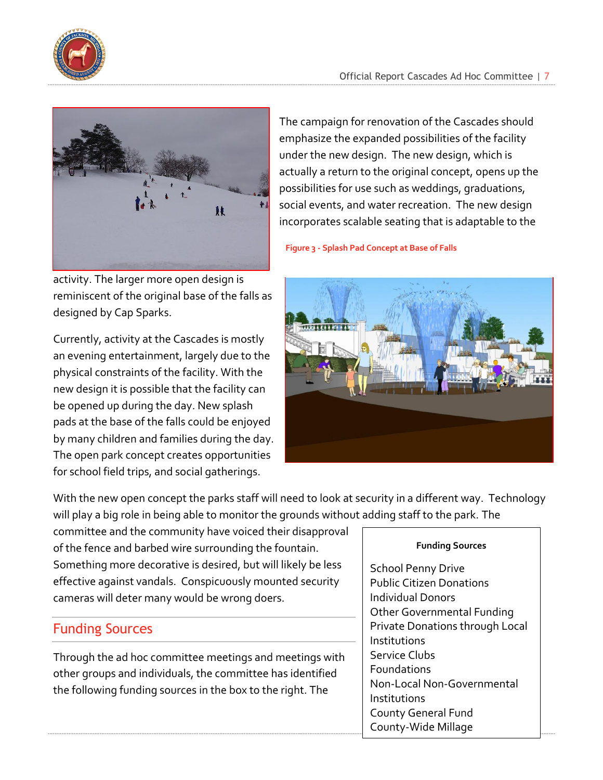

activity. The larger more open design is reminiscent of the original base of the falls as designed by Cap Sparks.

Currently, activity at the Cascades is mostly an evening entertainment, largely due to the physical constraints of the facility. With the new design it is possible that the facility can be opened up during the day. New splash pads at the base of the falls could be enjoyed by many children and families during the day. The open park concept creates opportunities for school field trips, and social gatherings.

The campaign for renovation of the Cascades should emphasize the expanded possibilities of the facility under the new design. The new design, which is actually a return to the original concept, opens up the possibilities for use such as weddings, graduations, social events, and water recreation. The new design incorporates scalable seating that is adaptable to the

**Figure 3 - Splash Pad Concept at Base of Falls**



With the new open concept the parks staff will need to look at security in a different way. Technology will play a big role in being able to monitor the grounds without adding staff to the park. The

committee and the community have voiced their disapproval of the fence and barbed wire surrounding the fountain. Something more decorative is desired, but will likely be less effective against vandals. Conspicuously mounted security cameras will deter many would be wrong doers.

#### <span id="page-6-0"></span>Funding Sources

Through the ad hoc committee meetings and meetings with other groups and individuals, the committee has identified the following funding sources in the box to the right. The

#### **Funding Sources**

School Penny Drive Public Citizen Donations Individual Donors Other Governmental Funding Private Donations through Local Institutions Service Clubs Foundations Non-Local Non-Governmental Institutions County General Fund County-Wide Millage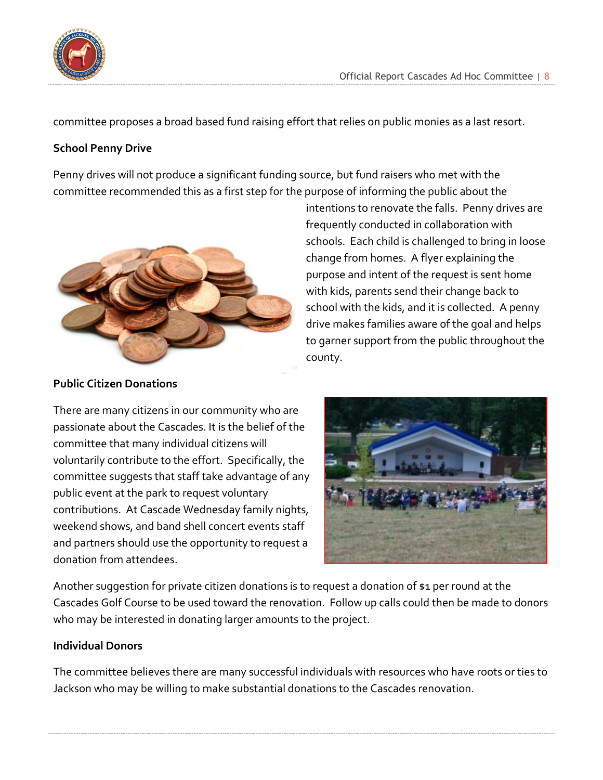

committee proposes a broad based fund raising effort that relies on public monies as a last resort.

#### **School Penny Drive**

Penny drives will not produce a significant funding source, but fund raisers who met with the committee recommended this as a first step for the purpose of informing the public about the



intentions to renovate the falls. Penny drives are frequently conducted in collaboration with schools. Each child is challenged to bring in loose change from homes. A flyer explaining the purpose and intent of the request is sent home with kids, parents send their change back to school with the kids, and it is collected. A penny drive makes families aware of the goal and helps to garner support from the public throughout the county.

#### **Public Citizen Donations**

There are many citizens in our community who are passionate about the Cascades. It is the belief of the committee that many individual citizens will voluntarily contribute to the effort. Specifically, the committee suggests that staff take advantage of any public event at the park to request voluntary contributions. At Cascade Wednesday family nights, weekend shows, and band shell concert events staff and partners should use the opportunity to request a donation from attendees.



Another suggestion for private citizen donations is to request a donation of \$1 per round at the Cascades Golf Course to be used toward the renovation. Follow up calls could then be made to donors who may be interested in donating larger amounts to the project.

#### **Individual Donors**

The committee believes there are many successful individuals with resources who have roots or ties to Jackson who may be willing to make substantial donations to the Cascades renovation.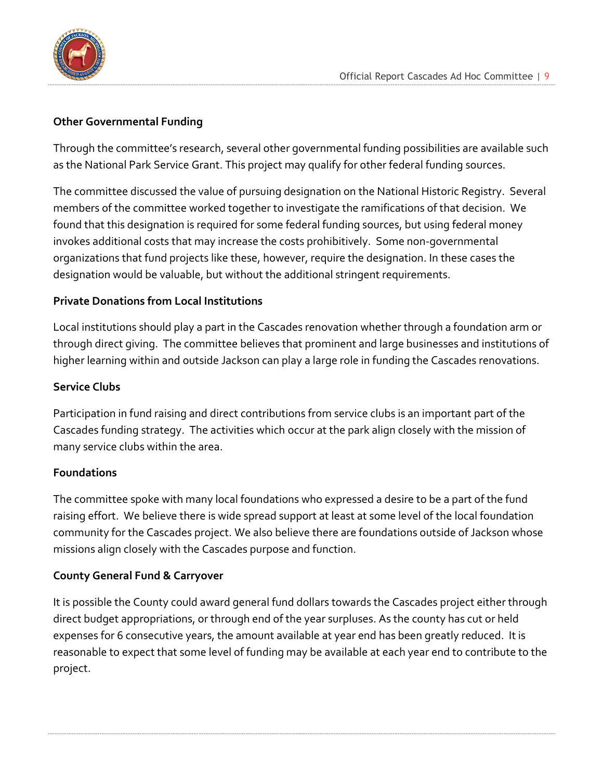

#### **Other Governmental Funding**

Through the committee's research, several other governmental funding possibilities are available such as the National Park Service Grant. This project may qualify for other federal funding sources.

The committee discussed the value of pursuing designation on the National Historic Registry. Several members of the committee worked together to investigate the ramifications of that decision. We found that this designation is required for some federal funding sources, but using federal money invokes additional costs that may increase the costs prohibitively. Some non-governmental organizations that fund projects like these, however, require the designation. In these cases the designation would be valuable, but without the additional stringent requirements.

#### **Private Donations from Local Institutions**

Local institutions should play a part in the Cascades renovation whether through a foundation arm or through direct giving. The committee believes that prominent and large businesses and institutions of higher learning within and outside Jackson can play a large role in funding the Cascades renovations.

#### **Service Clubs**

Participation in fund raising and direct contributions from service clubs is an important part of the Cascades funding strategy. The activities which occur at the park align closely with the mission of many service clubs within the area.

#### **Foundations**

The committee spoke with many local foundations who expressed a desire to be a part of the fund raising effort. We believe there is wide spread support at least at some level of the local foundation community for the Cascades project. We also believe there are foundations outside of Jackson whose missions align closely with the Cascades purpose and function.

#### **County General Fund & Carryover**

It is possible the County could award general fund dollars towards the Cascades project either through direct budget appropriations, or through end of the year surpluses. As the county has cut or held expenses for 6 consecutive years, the amount available at year end has been greatly reduced. It is reasonable to expect that some level of funding may be available at each year end to contribute to the project.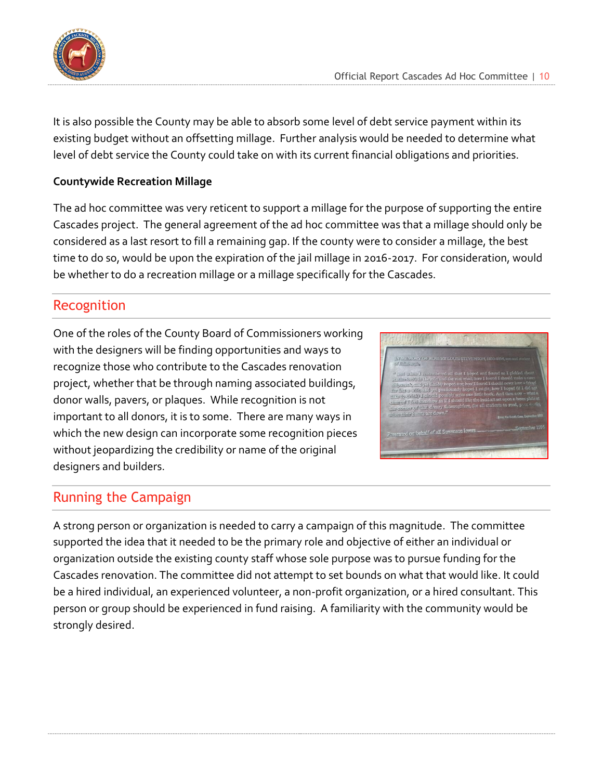

It is also possible the County may be able to absorb some level of debt service payment within its existing budget without an offsetting millage. Further analysis would be needed to determine what level of debt service the County could take on with its current financial obligations and priorities.

#### **Countywide Recreation Millage**

The ad hoc committee was very reticent to support a millage for the purpose of supporting the entire Cascades project. The general agreement of the ad hoc committee was that a millage should only be considered as a last resort to fill a remaining gap. If the county were to consider a millage, the best time to do so, would be upon the expiration of the jail millage in 2016-2017. For consideration, would be whether to do a recreation millage or a millage specifically for the Cascades.

#### <span id="page-9-0"></span>Recognition

One of the roles of the County Board of Commissioners working with the designers will be finding opportunities and ways to recognize those who contribute to the Cascades renovation project, whether that be through naming associated buildings, donor walls, pavers, or plaques. While recognition is not important to all donors, it is to some. There are many ways in which the new design can incorporate some recognition pieces without jeopardizing the credibility or name of the original designers and builders.



#### <span id="page-9-1"></span>Running the Campaign

A strong person or organization is needed to carry a campaign of this magnitude. The committee supported the idea that it needed to be the primary role and objective of either an individual or organization outside the existing county staff whose sole purpose was to pursue funding for the Cascades renovation. The committee did not attempt to set bounds on what that would like. It could be a hired individual, an experienced volunteer, a non-profit organization, or a hired consultant. This person or group should be experienced in fund raising. A familiarity with the community would be strongly desired.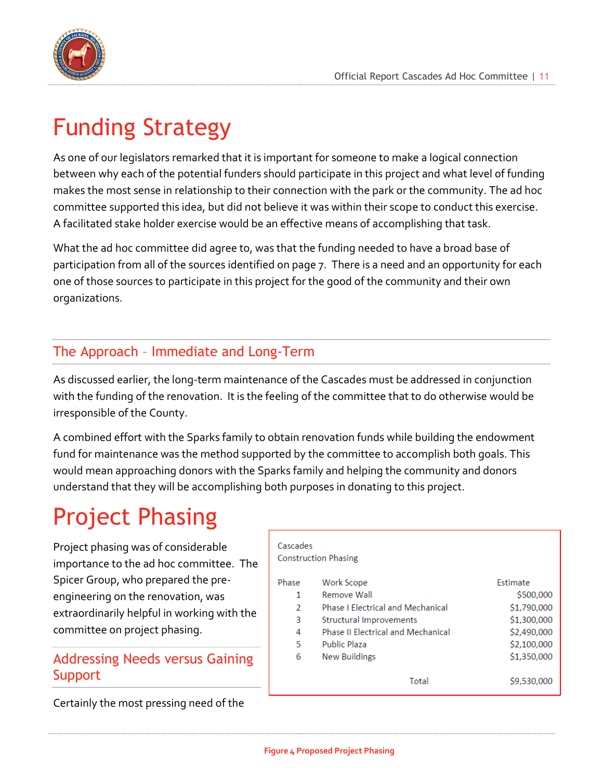

## <span id="page-10-0"></span>Funding Strategy

As one of our legislators remarked that it is important for someone to make a logical connection between why each of the potential funders should participate in this project and what level of funding makes the most sense in relationship to their connection with the park or the community. The ad hoc committee supported this idea, but did not believe it was within their scope to conduct this exercise. A facilitated stake holder exercise would be an effective means of accomplishing that task.

What the ad hoc committee did agree to, was that the funding needed to have a broad base of participation from all of the sources identified on page 7. There is a need and an opportunity for each one of those sources to participate in this project for the good of the community and their own organizations.

#### <span id="page-10-1"></span>The Approach – Immediate and Long-Term

As discussed earlier, the long-term maintenance of the Cascades must be addressed in conjunction with the funding of the renovation. It is the feeling of the committee that to do otherwise would be irresponsible of the County.

A combined effort with the Sparks family to obtain renovation funds while building the endowment fund for maintenance was the method supported by the committee to accomplish both goals. This would mean approaching donors with the Sparks family and helping the community and donors understand that they will be accomplishing both purposes in donating to this project.

## <span id="page-10-2"></span>Project Phasing

Project phasing was of considerable importance to the ad hoc committee. The Spicer Group, who prepared the preengineering on the renovation, was extraordinarily helpful in working with the committee on project phasing.

#### <span id="page-10-3"></span>Addressing Needs versus Gaining **Support**

Certainly the most pressing need of the

| Cascades                    |                                    |             |  |  |  |  |  |  |
|-----------------------------|------------------------------------|-------------|--|--|--|--|--|--|
| <b>Construction Phasing</b> |                                    |             |  |  |  |  |  |  |
| Phase                       | <b>Work Scope</b>                  | Estimate    |  |  |  |  |  |  |
| 1                           | Remove Wall                        | \$500,000   |  |  |  |  |  |  |
| $\mathcal{P}$               | Phase J Electrical and Mechanical  | \$1,790,000 |  |  |  |  |  |  |
| 3                           | Structural Improvements            | \$1,300,000 |  |  |  |  |  |  |
| 4                           | Phase II Electrical and Mechanical | \$2,490,000 |  |  |  |  |  |  |
| 5                           | Public Plaza                       | \$2,100,000 |  |  |  |  |  |  |
| 6                           | <b>New Buildings</b>               | \$1,350,000 |  |  |  |  |  |  |
|                             | Total                              | \$9,530,000 |  |  |  |  |  |  |

**Figure 4 Proposed Project Phasing**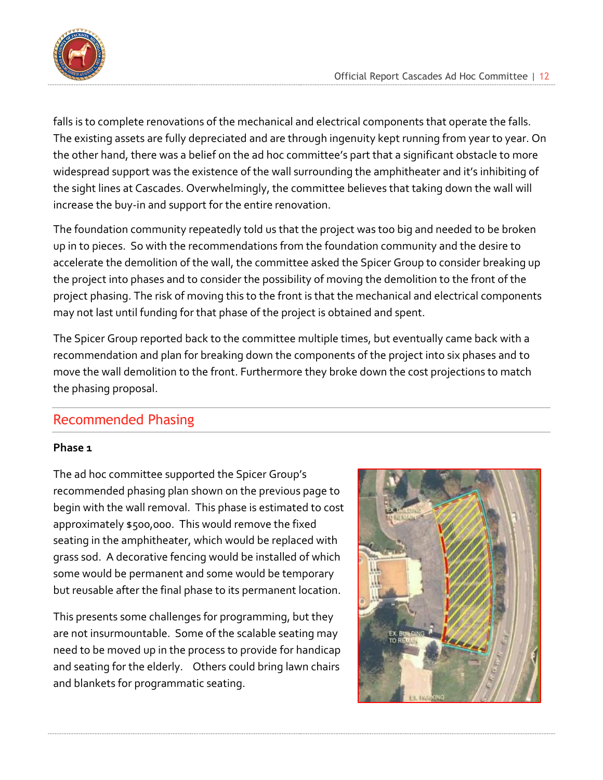falls is to complete renovations of the mechanical and electrical components that operate the falls. The existing assets are fully depreciated and are through ingenuity kept running from year to year. On the other hand, there was a belief on the ad hoc committee's part that a significant obstacle to more widespread support was the existence of the wall surrounding the amphitheater and it's inhibiting of the sight lines at Cascades. Overwhelmingly, the committee believes that taking down the wall will increase the buy-in and support for the entire renovation.

The foundation community repeatedly told us that the project was too big and needed to be broken up in to pieces. So with the recommendations from the foundation community and the desire to accelerate the demolition of the wall, the committee asked the Spicer Group to consider breaking up the project into phases and to consider the possibility of moving the demolition to the front of the project phasing. The risk of moving this to the front is that the mechanical and electrical components may not last until funding for that phase of the project is obtained and spent.

The Spicer Group reported back to the committee multiple times, but eventually came back with a recommendation and plan for breaking down the components of the project into six phases and to move the wall demolition to the front. Furthermore they broke down the cost projections to match the phasing proposal.

#### <span id="page-11-0"></span>Recommended Phasing

#### **Phase 1**

The ad hoc committee supported the Spicer Group's recommended phasing plan shown on the previous page to begin with the wall removal. This phase is estimated to cost approximately \$500,000. This would remove the fixed seating in the amphitheater, which would be replaced with grass sod. A decorative fencing would be installed of which some would be permanent and some would be temporary but reusable after the final phase to its permanent location.

This presents some challenges for programming, but they are not insurmountable. Some of the scalable seating may need to be moved up in the process to provide for handicap and seating for the elderly. Others could bring lawn chairs and blankets for programmatic seating.

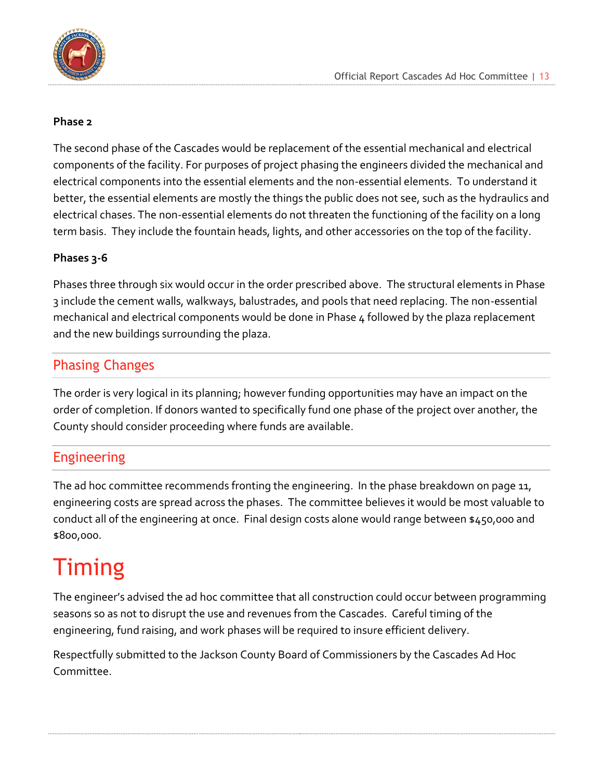

#### **Phase 2**

The second phase of the Cascades would be replacement of the essential mechanical and electrical components of the facility. For purposes of project phasing the engineers divided the mechanical and electrical components into the essential elements and the non-essential elements. To understand it better, the essential elements are mostly the things the public does not see, such as the hydraulics and electrical chases. The non-essential elements do not threaten the functioning of the facility on a long term basis. They include the fountain heads, lights, and other accessories on the top of the facility.

#### **Phases 3-6**

Phases three through six would occur in the order prescribed above. The structural elements in Phase 3 include the cement walls, walkways, balustrades, and pools that need replacing. The non-essential mechanical and electrical components would be done in Phase 4 followed by the plaza replacement and the new buildings surrounding the plaza.

#### <span id="page-12-0"></span>Phasing Changes

The order is very logical in its planning; however funding opportunities may have an impact on the order of completion. If donors wanted to specifically fund one phase of the project over another, the County should consider proceeding where funds are available.

#### <span id="page-12-1"></span>Engineering

The ad hoc committee recommends fronting the engineering. In the phase breakdown on page 11, engineering costs are spread across the phases. The committee believes it would be most valuable to conduct all of the engineering at once. Final design costs alone would range between \$450,000 and \$800,000.

## <span id="page-12-2"></span>Timing

The engineer's advised the ad hoc committee that all construction could occur between programming seasons so as not to disrupt the use and revenues from the Cascades. Careful timing of the engineering, fund raising, and work phases will be required to insure efficient delivery.

Respectfully submitted to the Jackson County Board of Commissioners by the Cascades Ad Hoc Committee.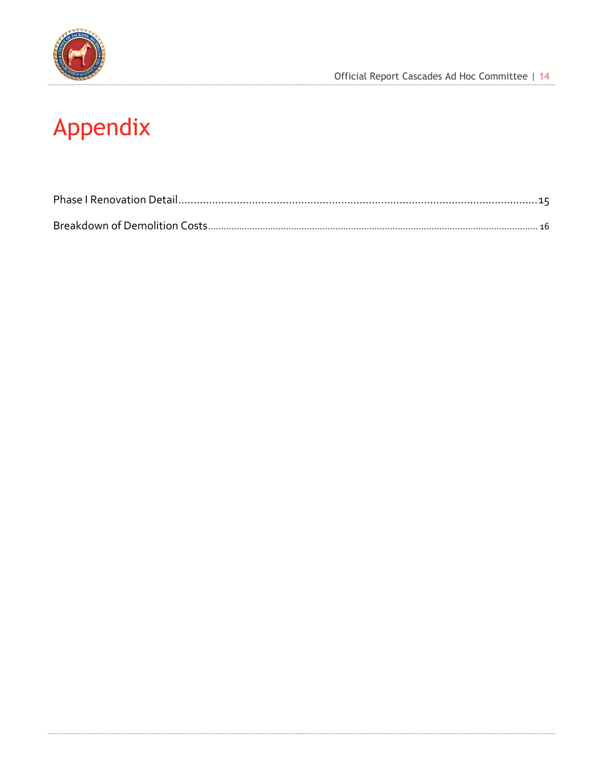

# <span id="page-13-0"></span>**Appendix**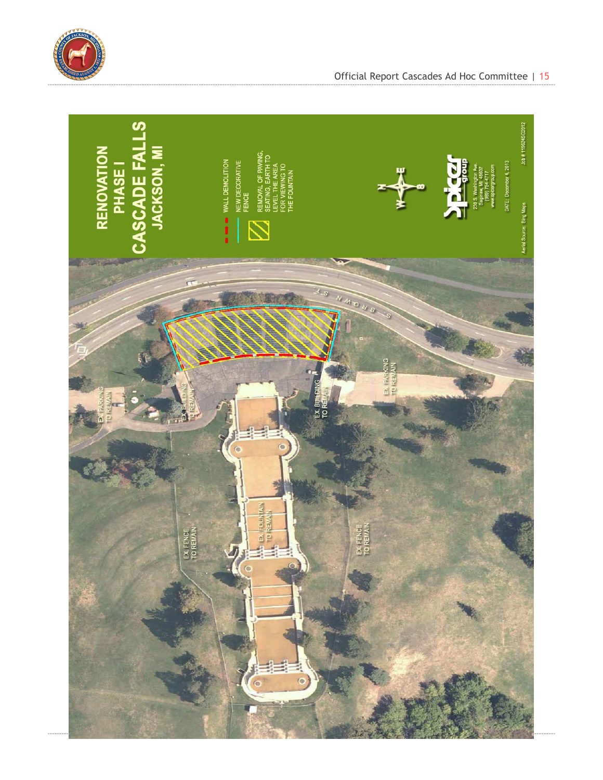